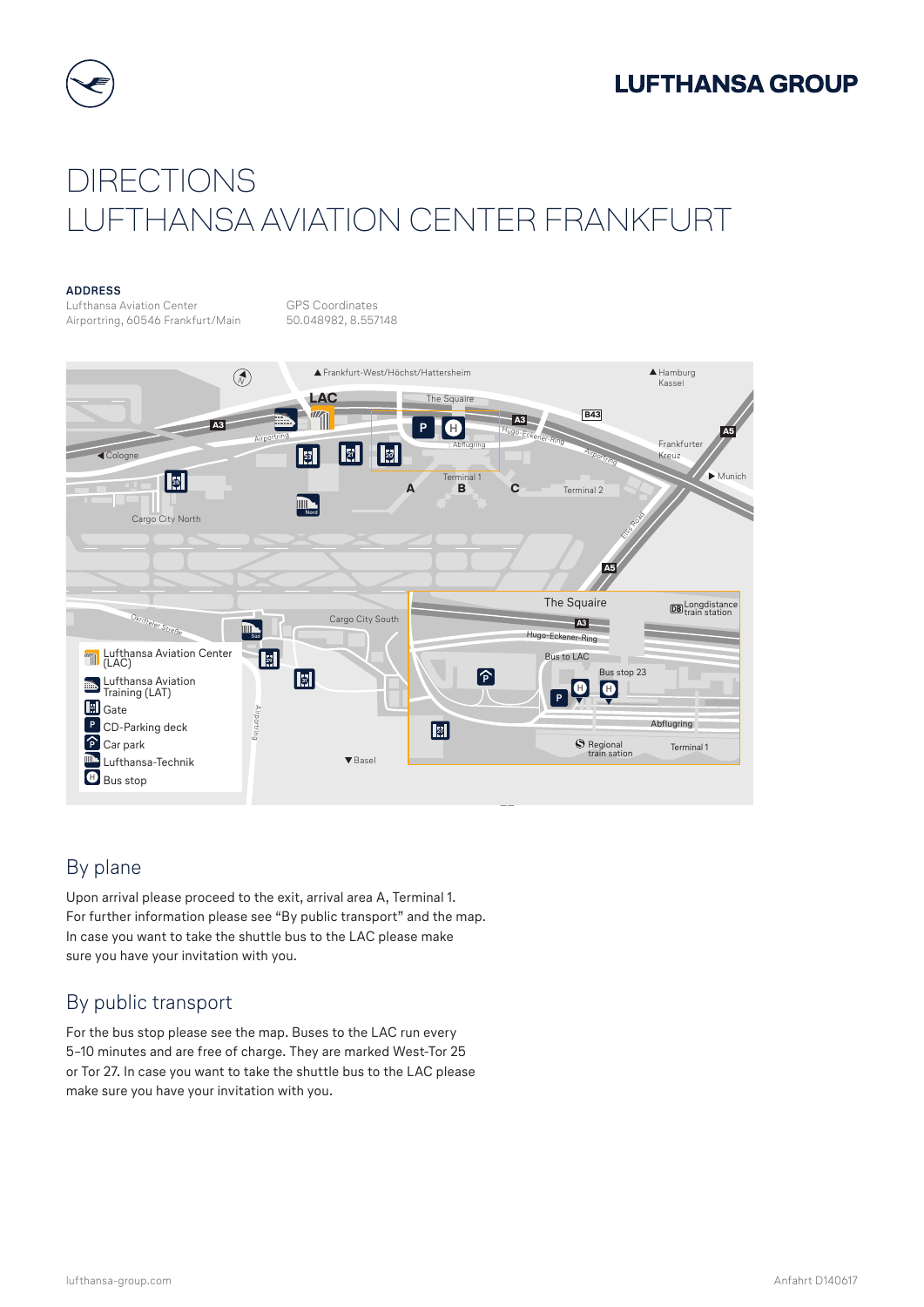



# DIRECTIONS LUFTHANSA AVIATION CENTER FRANKFURT

#### **ADDRESS**

Lufthansa Aviation Center GPS Coordinates<br>Airportring, 60546 Frankfurt/Main 50.048982, 8.557148 Airportring, 60546 Frankfurt/Main



## By plane

Upon arrival please proceed to the exit, arrival area A, Terminal 1. For further information please see "By public transport" and the map. In case you want to take the shuttle bus to the LAC please make sure you have your invitation with you.

## By public transport

For the bus stop please see the map. Buses to the LAC run every 5–10 minutes and are free of charge. They are marked West-Tor 25 or Tor 27. In case you want to take the shuttle bus to the LAC please make sure you have your invitation with you.